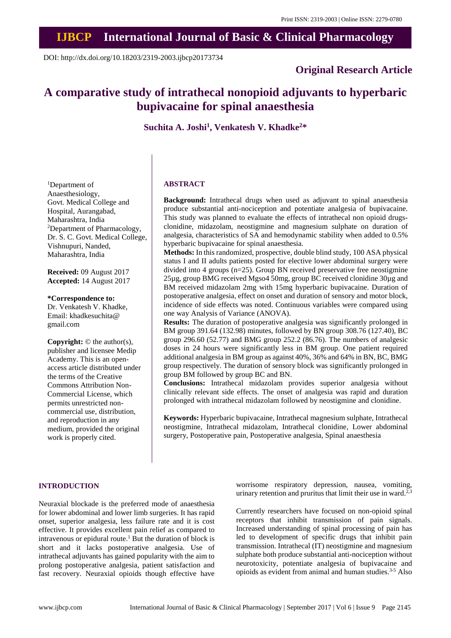# **IJBCP International Journal of Basic & Clinical Pharmacology**

DOI: http://dx.doi.org/10.18203/2319-2003.ijbcp20173734

# **Original Research Article**

# **A comparative study of intrathecal nonopioid adjuvants to hyperbaric bupivacaine for spinal anaesthesia**

**Suchita A. Joshi<sup>1</sup> , Venkatesh V. Khadke<sup>2</sup>\***

<sup>1</sup>Department of Anaesthesiology, Govt. Medical College and Hospital, Aurangabad, Maharashtra, India <sup>2</sup>Department of Pharmacology, Dr. S. C. Govt. Medical College, Vishnupuri, Nanded, Maharashtra, India

**Received:** 09 August 2017 **Accepted:** 14 August 2017

**\*Correspondence to:** Dr. Venkatesh V. Khadke,

Email: khadkesuchita@ gmail.com

**Copyright:** © the author(s), publisher and licensee Medip Academy. This is an openaccess article distributed under the terms of the Creative Commons Attribution Non-Commercial License, which permits unrestricted noncommercial use, distribution, and reproduction in any medium, provided the original work is properly cited.

#### **ABSTRACT**

**Background:** Intrathecal drugs when used as adjuvant to spinal anaesthesia produce substantial anti-nociception and potentiate analgesia of bupivacaine. This study was planned to evaluate the effects of intrathecal non opioid drugsclonidine, midazolam, neostigmine and magnesium sulphate on duration of analgesia, characteristics of SA and hemodynamic stability when added to 0.5% hyperbaric bupivacaine for spinal anaesthesia.

**Methods:** In this randomized, prospective, double blind study, 100 ASA physical status I and II adults patients posted for elective lower abdominal surgery were divided into 4 groups (n=25). Group BN received preservative free neostigmine 25µg, group BMG received Mgso4 50mg, group BC received clonidine 30µg and BM received midazolam 2mg with 15mg hyperbaric bupivacaine. Duration of postoperative analgesia, effect on onset and duration of sensory and motor block, incidence of side effects was noted. Continuous variables were compared using one way Analysis of Variance (ANOVA).

**Results:** The duration of postoperative analgesia was significantly prolonged in BM group 391.64 (132.98) minutes, followed by BN group 308.76 (127.40), BC group 296.60 (52.77) and BMG group 252.2 (86.76). The numbers of analgesic doses in 24 hours were significantly less in BM group. One patient required additional analgesia in BM group as against 40%, 36% and 64% in BN, BC, BMG group respectively. The duration of sensory block was significantly prolonged in group BM followed by group BC and BN.

**Conclusions:** Intrathecal midazolam provides superior analgesia without clinically relevant side effects. The onset of analgesia was rapid and duration prolonged with intrathecal midazolam followed by neostigmine and clonidine.

**Keywords:** Hyperbaric bupivacaine, Intrathecal magnesium sulphate, Intrathecal neostigmine, Intrathecal midazolam, Intrathecal clonidine, Lower abdominal surgery, Postoperative pain, Postoperative analgesia, Spinal anaesthesia

#### **INTRODUCTION**

Neuraxial blockade is the preferred mode of anaesthesia for lower abdominal and lower limb surgeries. It has rapid onset, superior analgesia, less failure rate and it is cost effective. It provides excellent pain relief as compared to intravenous or epidural route.<sup>1</sup> But the duration of block is short and it lacks postoperative analgesia. Use of intrathecal adjuvants has gained popularity with the aim to prolong postoperative analgesia, patient satisfaction and fast recovery. Neuraxial opioids though effective have worrisome respiratory depression, nausea, vomiting, urinary retention and pruritus that limit their use in ward.<sup>2,3</sup>

Currently researchers have focused on non-opioid spinal receptors that inhibit transmission of pain signals. Increased understanding of spinal processing of pain has led to development of specific drugs that inhibit pain transmission. Intrathecal (IT) neostigmine and magnesium sulphate both produce substantial anti-nociception without neurotoxicity, potentiate analgesia of bupivacaine and opioids as evident from animal and human studies.3-5 Also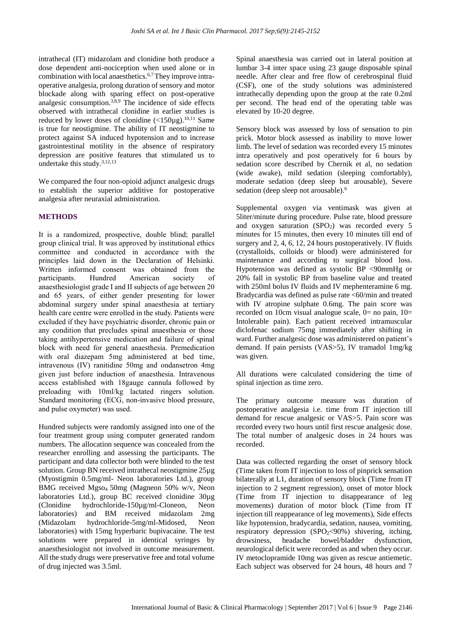intrathecal (IT) midazolam and clonidine both produce a dose dependent anti-nociception when used alone or in combination with local anaesthetics.<sup>6,7</sup>They improve intraoperative analgesia, prolong duration of sensory and motor blockade along with sparing effect on post-operative analgesic consumption.3,8,9 The incidence of side effects observed with intrathecal clonidine in earlier studies is reduced by lower doses of clonidine  $\left($ <150 $\mu$ g).<sup>10,11</sup> Same is true for neostigmine. The ability of IT neostigmine to protect against SA induced hypotension and to increase gastrointestinal motility in the absence of respiratory depression are positive features that stimulated us to undertake this study.3,12,13

We compared the four non-opioid adjunct analgesic drugs to establish the superior additive for postoperative analgesia after neuraxial administration.

### **METHODS**

It is a randomized, prospective, double blind; parallel group clinical trial. It was approved by institutional ethics committee and conducted in accordance with the principles laid down in the Declaration of Helsinki. Written informed consent was obtained from the participants. Hundred American society of anaesthesiologist grade I and II subjects of age between 20 and 65 years, of either gender presenting for lower abdominal surgery under spinal anaesthesia at tertiary health care centre were enrolled in the study. Patients were excluded if they have psychiatric disorder, chronic pain or any condition that precludes spinal anaesthesia or those taking antihypertensive medication and failure of spinal block with need for general anaesthesia. Premedication with oral diazepam 5mg administered at bed time, intravenous (IV) ranitidine 50mg and ondansetron 4mg given just before induction of anaesthesia. Intravenous access established with 18gauge cannula followed by preloading with 10ml/kg lactated ringers solution. Standard monitoring (ECG, non-invasive blood pressure, and pulse oxymeter) was used.

Hundred subjects were randomly assigned into one of the four treatment group using computer generated random numbers. The allocation sequence was concealed from the researcher enrolling and assessing the participants. The participant and data collector both were blinded to the test solution. Group BN received intrathecal neostigmine 25µg (Myostigmin 0.5mg/ml- Neon laboratories Ltd.), group BMG received Mgso<sup>4</sup> 50mg (Magneon 50% w/v, Neon laboratories Ltd.), group BC received clonidine 30µg (Clonidine hydrochloride-150µg/ml-Cloneon, Neon laboratories) and BM received midazolam 2mg (Midazolam hydrochloride-5mg/ml-Midosed, Neon laboratories) with 15mg hyperbaric bupivacaine. The test solutions were prepared in identical syringes by anaesthesiologist not involved in outcome measurement. All the study drugs were preservative free and total volume of drug injected was 3.5ml.

Spinal anaesthesia was carried out in lateral position at lumbar 3-4 inter space using 23 gauge disposable spinal needle. After clear and free flow of cerebrospinal fluid (CSF), one of the study solutions was administered intrathecally depending upon the group at the rate 0.2ml per second. The head end of the operating table was elevated by 10-20 degree.

Sensory block was assessed by loss of sensation to pin prick. Motor block assessed as inability to move lower limb. The level of sedation was recorded every 15 minutes intra operatively and post operatively for 6 hours by sedation score described by Chernik et al, no sedation (wide awake), mild sedation (sleeping comfortably), moderate sedation (deep sleep but arousable), Severe sedation (deep sleep not arousable).<sup>6</sup>

Supplemental oxygen via ventimask was given at 5liter/minute during procedure. Pulse rate, blood pressure and oxygen saturation  $(SPO<sub>2</sub>)$  was recorded every 5 minutes for 15 minutes, then every 10 minutes till end of surgery and 2, 4, 6, 12, 24 hours postoperatively. IV fluids (crystalloids, colloids or blood) were administered for maintenance and according to surgical blood loss. Hypotension was defined as systolic BP <90mmHg or 20% fall in systolic BP from baseline value and treated with 250ml bolus IV fluids and IV mephenteramine 6 mg. Bradycardia was defined as pulse rate <60/min and treated with IV atropine sulphate 0.6mg. The pain score was recorded on 10cm visual analogue scale,  $0=$  no pain,  $10=$ Intolerable pain). Each patient received intramuscular diclofenac sodium 75mg immediately after shifting in ward. Further analgesic dose was administered on patient's demand. If pain persists (VAS>5), IV tramadol 1mg/kg was given.

All durations were calculated considering the time of spinal injection as time zero.

The primary outcome measure was duration of postoperative analgesia i.e. time from IT injection till demand for rescue analgesic or VAS>5. Pain score was recorded every two hours until first rescue analgesic dose. The total number of analgesic doses in 24 hours was recorded.

Data was collected regarding the onset of sensory block (Time taken from IT injection to loss of pinprick sensation bilaterally at L1, duration of sensory block (Time from IT injection to 2 segment regression), onset of motor block (Time from IT injection to disappearance of leg movements) duration of motor block (Time from IT injection till reappearance of leg movements), Side effects like hypotension, bradycardia, sedation, nausea, vomiting, respiratory depression  $(SPO<sub>2</sub><90%)$  shivering, itching, drowsiness, headache bowel/bladder dysfunction, neurological deficit were recorded as and when they occur. IV metoclopramide 10mg was given as rescue antiemetic. Each subject was observed for 24 hours, 48 hours and 7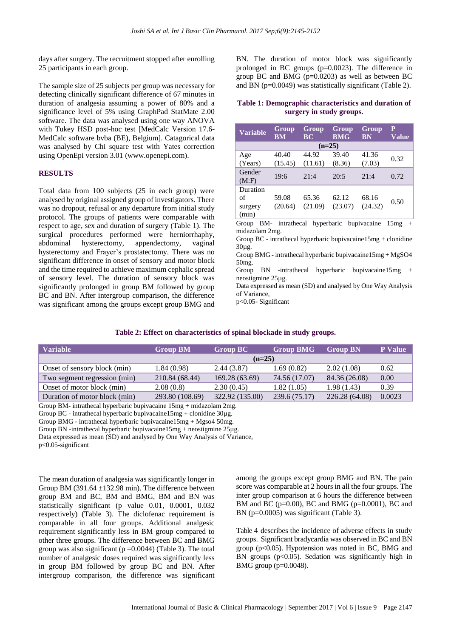days after surgery. The recruitment stopped after enrolling 25 participants in each group.

The sample size of 25 subjects per group was necessary for detecting clinically significant difference of 67 minutes in duration of analgesia assuming a power of 80% and a significance level of 5% using GraphPad StatMate 2.00 software. The data was analysed using one way ANOVA with Tukey HSD post-hoc test [MedCalc Version 17.6- MedCalc software bvba (BE), Belgium]. Catagorical data was analysed by Chi square test with Yates correction using OpenEpi version 3.01 (www.openepi.com).

#### **RESULTS**

Total data from 100 subjects (25 in each group) were analysed by original assigned group of investigators. There was no dropout, refusal or any departure from initial study protocol. The groups of patients were comparable with respect to age, sex and duration of surgery (Table 1). The surgical procedures performed were herniorrhaphy, abdominal hysterectomy, appendectomy, vaginal hysterectomy and Frayer's prostatectomy. There was no significant difference in onset of sensory and motor block and the time required to achieve maximum cephalic spread of sensory level. The duration of sensory block was significantly prolonged in group BM followed by group BC and BN. After intergroup comparison, the difference was significant among the groups except group BMG and BN. The duration of motor block was significantly prolonged in BC groups (p=0.0023). The difference in group BC and BMG  $(p=0.0203)$  as well as between BC and BN (p=0.0049) was statistically significant (Table 2).

**Table 1: Demographic characteristics and duration of surgery in study groups.**

| <b>Variable</b>                                                                                             | Group<br><b>BM</b> | Group<br><b>BC</b>                     | Group<br><b>BMG</b> | Group<br><b>BN</b> | P<br><b>Value</b> |  |  |
|-------------------------------------------------------------------------------------------------------------|--------------------|----------------------------------------|---------------------|--------------------|-------------------|--|--|
| $(n=25)$                                                                                                    |                    |                                        |                     |                    |                   |  |  |
| Age<br>(Years)                                                                                              | 40.40<br>(15.45)   | 44.92<br>(11.61)                       | 39.40<br>(8.36)     | 41.36<br>(7.03)    | 0.32              |  |  |
| Gender<br>(M:F)                                                                                             | 19:6               | 21:4                                   | 20:5                | 21:4               | 0.72              |  |  |
| Duration<br>of<br>surgery<br>(min)                                                                          | 59.08<br>(20.64)   | 65.36<br>(21.09)                       | 62.12<br>(23.07)    | 68.16<br>(24.32)   | 0.50              |  |  |
| Group<br>midazolam 2mg.<br>Group BC - intrathecal hyperbaric bupivacaine15mg + clonidine<br>$20\cdot\sigma$ |                    | BM- intrathecal hyperbaric bupivacaine |                     |                    | 15mg<br>$+$       |  |  |

30µg. Group BMG - intrathecal hyperbaric bupivacaine15mg + MgSO4 50mg.

Group BN -intrathecal hyperbaric bupivacaine15mg + neostigmine 25µg.

Data expressed as mean (SD) and analysed by One Way Analysis of Variance,

p<0.05- Significant

#### **Table 2: Effect on characteristics of spinal blockade in study groups.**

| Variable                      | <b>Group BM</b> | <b>Group BC</b> | <b>Group BMG</b> | <b>Group BN</b> | <b>P</b> Value |  |
|-------------------------------|-----------------|-----------------|------------------|-----------------|----------------|--|
|                               | $(n=25)$        |                 |                  |                 |                |  |
| Onset of sensory block (min)  | 1.84(0.98)      | 2.44(3.87)      | 1.69(0.82)       | 2.02(1.08)      | 0.62           |  |
| Two segment regression (min)  | 210.84 (68.44)  | 169.28 (63.69)  | 74.56 (17.07)    | 84.36 (26.08)   | 0.00           |  |
| Onset of motor block (min)    | 2.08(0.8)       | 2.30(0.45)      | 1.82(1.05)       | 1.98(1.43)      | 0.39           |  |
| Duration of motor block (min) | 293.80 (108.69) | 322.92 (135.00) | 239.6 (75.17)    | 226.28 (64.08)  | 0.0023         |  |

Group BM- intrathecal hyperbaric bupivacaine 15mg + midazolam 2mg.

Group BC - intrathecal hyperbaric bupivacaine15mg + clonidine 30µg.

Group BMG - intrathecal hyperbaric bupivacaine15mg + Mgso4 50mg.

Group BN -intrathecal hyperbaric bupivacaine15mg + neostigmine 25µg.

Data expressed as mean (SD) and analysed by One Way Analysis of Variance,

p<0.05-significant

The mean duration of analgesia was significantly longer in Group BM (391.64  $\pm$ 132.98 min). The difference between group BM and BC, BM and BMG, BM and BN was statistically significant (p value 0.01, 0.0001, 0.032 respectively) (Table 3). The diclofenac requirement is comparable in all four groups. Additional analgesic requirement significantly less in BM group compared to other three groups. The difference between BC and BMG group was also significant ( $p = 0.0044$ ) (Table 3). The total number of analgesic doses required was significantly less in group BM followed by group BC and BN. After intergroup comparison, the difference was significant among the groups except group BMG and BN. The pain score was comparable at 2 hours in all the four groups. The inter group comparison at 6 hours the difference between BM and BC (p=0.00), BC and BMG (p=0.0001), BC and BN (p=0.0005) was significant (Table 3).

Table 4 describes the incidence of adverse effects in study groups. Significant bradycardia was observed in BC and BN group ( $p<0.05$ ). Hypotension was noted in BC, BMG and BN groups  $(p<0.05)$ . Sedation was significantly high in BMG group (p=0.0048).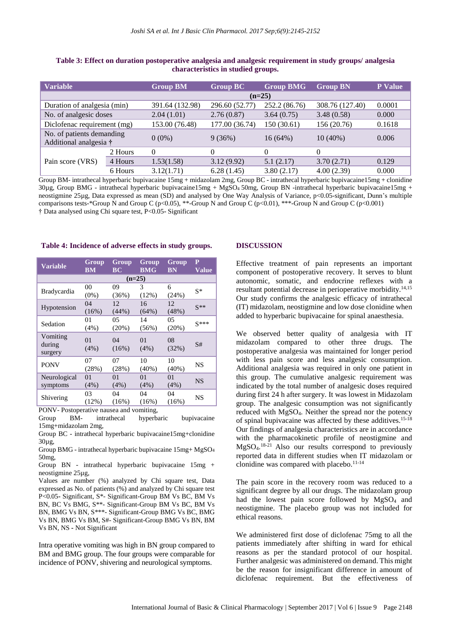| <b>Variable</b>                                     |         | <b>Group BM</b> | <b>Group BC</b> | <b>Group BMG</b> | <b>Group BN</b> | <b>P</b> Value |  |
|-----------------------------------------------------|---------|-----------------|-----------------|------------------|-----------------|----------------|--|
|                                                     |         | $(n=25)$        |                 |                  |                 |                |  |
| Duration of analgesia (min)                         |         | 391.64 (132.98) | 296.60 (52.77)  | 252.2 (86.76)    | 308.76 (127.40) | 0.0001         |  |
| No. of analgesic doses                              |         | 2.04(1.01)      | 2.76(0.87)      | 3.64(0.75)       | 3.48(0.58)      | 0.000          |  |
| Diclofenac requirement (mg)                         |         | 153.00 (76.48)  | 177.00 (36.74)  | 150 (30.61)      | 156 (20.76)     | 0.1618         |  |
| No. of patients demanding<br>Additional analgesia † |         | $0(0\%)$        | 9(36%)          | $16(64\%)$       | $10(40\%)$      | 0.006          |  |
| Pain score (VRS)                                    | 2 Hours | $\Omega$        | $\Omega$        | 0                | $\Omega$        |                |  |
|                                                     | 4 Hours | 1.53(1.58)      | 3.12(9.92)      | 5.1(2.17)        | 3.70(2.71)      | 0.129          |  |
|                                                     | 6 Hours | 3.12(1.71)      | 6.28(1.45)      | 3.80(2.17)       | 4.00(2.39)      | 0.000          |  |

**Table 3: Effect on duration postoperative analgesia and analgesic requirement in study groups/ analgesia characteristics in studied groups.**

Group BM- intrathecal hyperbaric bupivacaine 15mg + midazolam 2mg, Group BC - intrathecal hyperbaric bupivacaine15mg + clonidine  $30\mu$ g, Group BMG - intrathecal hyperbaric bupivacaine $15mg + MgSO<sub>4</sub> 50mg$ , Group BN -intrathecal hyperbaric bupivacaine $15mg +$ neostigmine 25µg, Data expressed as mean (SD) and analysed by One Way Analysis of Variance, p<0.05-significant, Dunn's multiple comparisons tests-\*Group N and Group C (p<0.05), \*\*-Group N and Group C (p<0.01), \*\*\*-Group N and Group C (p<0.001) † Data analysed using Chi square test, P<0.05**-** Significant

#### **Table 4: Incidence of adverse effects in study groups.**

| <b>Variable</b>               | Group<br><b>BM</b> | Group<br>BC | Group<br><b>BMG</b> | Group<br><b>BN</b> | P<br>Value |  |
|-------------------------------|--------------------|-------------|---------------------|--------------------|------------|--|
| $(n=25)$                      |                    |             |                     |                    |            |  |
| <b>Bradycardia</b>            | 00                 | 09          | 3                   | 6                  | $S^*$      |  |
|                               | $(0\%)$            | (36%)       | (12%)               | (24%)              |            |  |
| Hypotension                   | 04                 | 12          | 16                  | 12                 | $S^{**}$   |  |
|                               | (16%)              | (44%)       | (64%)               | (48%)              |            |  |
| Sedation                      | 01                 | 05          | 14                  | 05                 | $S***$     |  |
|                               | (4%)               | (20%)       | (56%)               | (20%)              |            |  |
| Vomiting<br>during<br>surgery | 01<br>(4%)         | 04<br>(16%) | 01<br>$(4\%)$       | 08<br>(32%)        | S#         |  |
| <b>PONV</b>                   | 07                 | 07          | 10                  | 10                 | NS         |  |
|                               | (28%)              | (28%)       | $(40\%)$            | $(40\%)$           |            |  |
| Neurological                  | 0 <sub>1</sub>     | 01          | 01                  | 01                 | <b>NS</b>  |  |
| symptoms                      | (4%)               | $(4\%)$     | (4%)                | (4%)               |            |  |
| Shivering                     | 03                 | 04          | 04                  | 04                 | <b>NS</b>  |  |
|                               | (12%)              | (16%)       | (16%)               | (16%)              |            |  |
|                               |                    |             |                     |                    |            |  |

PONV- Postoperative nausea and vomiting, Group BM- intrathecal hyperbaric bupivacaine

Group BC - intrathecal hyperbaric bupivacaine15mg+clonidine 30µg,

Group BMG - intrathecal hyperbaric bupivacaine 15mg+ MgSO<sup>4</sup> 50mg,

Group BN - intrathecal hyperbaric bupivacaine 15mg + neostigmine 25µg,

Values are number (%) analyzed by Chi square test, Data expressed as No. of patients (%) and analyzed by Chi square test P<0.05**-** Significant, S\*- Significant-Group BM Vs BC, BM Vs BN, BC Vs BMG, S\*\*- Significant-Group BM Vs BC, BM Vs BN, BMG Vs BN, S\*\*\*- Significant-Group BMG Vs BC, BMG Vs BN, BMG Vs BM, S#- Significant-Group BMG Vs BN, BM Vs BN, NS **-** Not Significant

Intra operative vomiting was high in BN group compared to BM and BMG group. The four groups were comparable for incidence of PONV, shivering and neurological symptoms.

#### **DISCUSSION**

Effective treatment of pain represents an important component of postoperative recovery. It serves to blunt autonomic, somatic, and endocrine reflexes with a resultant potential decrease in perioperative morbidity.14,15 Our study confirms the analgesic efficacy of intrathecal (IT) midazolam, neostigmine and low dose clonidine when added to hyperbaric bupivacaine for spinal anaesthesia.

We observed better quality of analgesia with IT midazolam compared to other three drugs. The postoperative analgesia was maintained for longer period with less pain score and less analgesic consumption. Additional analgesia was required in only one patient in this group. The cumulative analgesic requirement was indicated by the total number of analgesic doses required during first 24 h after surgery. It was lowest in Midazolam group. The analgesic consumption was not significantly reduced with MgSO4. Neither the spread nor the potency of spinal bupivacaine was affected by these additives.15-18 Our findings of analgesia characteristics are in accordance with the pharmacokinetic profile of neostigmine and MgSO4. 18-21 Also our results correspond to previously reported data in different studies when IT midazolam or clonidine was compared with placebo. $11-14$ 

The pain score in the recovery room was reduced to a significant degree by all our drugs. The midazolam group had the lowest pain score followed by MgSO<sub>4</sub> and neostigmine. The placebo group was not included for ethical reasons.

We administered first dose of diclofenac 75mg to all the patients immediately after shifting in ward for ethical reasons as per the standard protocol of our hospital. Further analgesic was administered on demand. This might be the reason for insignificant difference in amount of diclofenac requirement. But the effectiveness of

<sup>15</sup>mg+midazolam 2mg,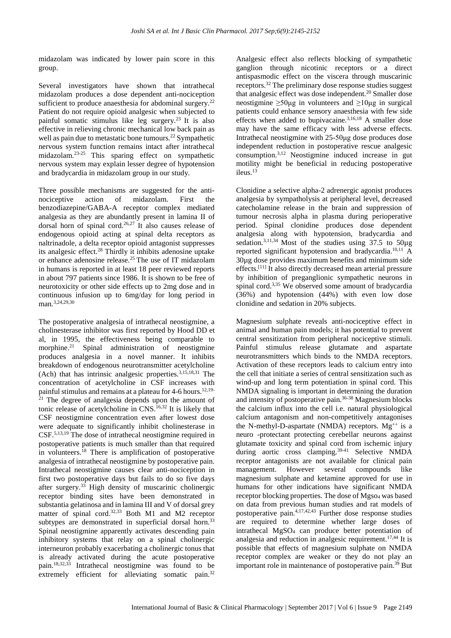midazolam was indicated by lower pain score in this group.

Several investigators have shown that intrathecal midazolam produces a dose dependent anti-nociception sufficient to produce anaesthesia for abdominal surgery.<sup>22</sup> Patient do not require opioid analgesic when subjected to painful somatic stimulus like leg surgery.<sup>23</sup> It is also effective in relieving chronic mechanical low back pain as well as pain due to metastatic bone tumours.<sup>22</sup> Sympathetic nervous system function remains intact after intrathecal midazolam.23-25 This sparing effect on sympathetic nervous system may explain lesser degree of hypotension and bradycardia in midazolam group in our study.

Three possible mechanisms are suggested for the antinociceptive action of midazolam. First the benzodiazepine/GABA-A receptor complex mediated analgesia as they are abundantly present in lamina II of dorsal horn of spinal cord.<sup>26,27</sup> It also causes release of endogenous opioid acting at spinal delta receptors as naltrinadole, a delta receptor opioid antagonist suppresses its analgesic effect.<sup>28</sup> Thirdly it inhibits adenosine uptake or enhance adenosine release.<sup>25</sup> The use of IT midazolam in humans is reported in at least 18 peer reviewed reports in about 797 patients since 1986. It is shown to be free of neurotoxicity or other side effects up to 2mg dose and in continuous infusion up to 6mg/day for long period in man.<sup>3,24,29,30</sup>

The postoperative analgesia of intrathecal neostigmine, a cholinesterase inhibitor was first reported by Hood DD et al, in 1995, the effectiveness being comparable to morphine.<sup>21</sup> Spinal administration of neostigmine produces analgesia in a novel manner. It inhibits breakdown of endogenous neurotransmitter acetylcholine  $(Ach)$  that has intrinsic analgesic properties.<sup>3,15,18,31</sup> The concentration of acetylcholine in CSF increases with painful stimulus and remains at a plateau for 4-6 hours.<sup>12,19-</sup>  $21$  The degree of analgesia depends upon the amount of tonic release of acetylcholine in CNS.<sup>16,32</sup> It is likely that CSF neostigmine concentration even after lowest dose were adequate to significantly inhibit cholinesterase in CSF.5,13,19 The dose of intrathecal neostigmine required in postoperative patients is much smaller than that required in volunteers. <sup>18</sup> There is amplification of postoperative analgesia of intrathecal neostigmine by postoperative pain. Intrathecal neostigmine causes clear anti-nociception in first two postoperative days but fails to do so five days after surgery.<sup>33</sup> High density of muscarinic cholinergic receptor binding sites have been demonstrated in substantia gelatinosa and in lamina III and V of dorsal grey matter of spinal cord.<sup>32,33</sup> Both M1 and M2 receptor subtypes are demonstrated in superficial dorsal horn.<sup>33</sup> Spinal neostigmine apparently activates descending pain inhibitory systems that relay on a spinal cholinergic interneuron probably exacerbating a cholinergic tonus that is already activated during the acute postoperative pain.18,32,33 Intrathecal neostigmine was found to be extremely efficient for alleviating somatic pain.<sup>32</sup>

Analgesic effect also reflects blocking of sympathetic ganglion through nicotinic receptors or a direct antispasmodic effect on the viscera through muscarinic receptors.<sup>32</sup> The preliminary dose response studies suggest that analgesic effect was dose independent.<sup>20</sup> Smaller dose neostigmine  $\geq 50\mu g$  in volunteers and  $\geq 10\mu g$  in surgical patients could enhance sensory anaesthesia with few side effects when added to bupivacaine.<sup>3,16,18</sup> A smaller dose may have the same efficacy with less adverse effects. Intrathecal neostigmine with 25-50μg dose produces dose independent reduction in postoperative rescue analgesic consumption.3,12 Neostigmine induced increase in gut motility might be beneficial in reducing postoperative ileus.<sup>13</sup>

Clonidine a selective alpha-2 adrenergic agonist produces analgesia by sympatholysis at peripheral level, decreased catecholamine release in the brain and suppression of tumour necrosis alpha in plasma during perioperative period. Spinal clonidine produces dose dependent analgesia along with hypotension, bradycardia and sedation.<sup>3,11,34</sup> Most of the studies using  $37.5$  to  $50\mu$ g reported significant hypotension and bradycardia.10,11 A 30µg dose provides maximum benefits and minimum side effects.[11] It also directly decreased mean arterial pressure by inhibition of preganglionic sympathetic neurons in spinal cord.<sup>3,35</sup> We observed some amount of bradycardia (36%) and hypotension (44%) with even low dose clonidine and sedation in 20% subjects.

Magnesium sulphate reveals anti-nociceptive effect in animal and human pain models; it has potential to prevent central sensitization from peripheral nociceptive stimuli. Painful stimulus release glutamate and aspartate neurotransmitters which binds to the NMDA receptors. Activation of these receptors leads to calcium entry into the cell that initiate a series of central sensitization such as wind-up and long term potentiation in spinal cord. This NMDA signaling is important in determining the duration and intensity of postoperative pain.36-38 Magnesium blocks the calcium influx into the cell i.e. natural physiological calcium antagonism and non-competitively antagonises the N-methyl-D-aspartate (NMDA) receptors.  $Mg^{++}$  is a neuro -protectant protecting cerebellar neurons against glutamate toxicity and spinal cord from ischemic injury during aortic cross clamping.<sup>39-41</sup> Selective NMDA receptor antagonists are not available for clinical pain management. However several compounds like magnesium sulphate and ketamine approved for use in humans for other indications have significant NMDA receptor blocking properties. The dose of Mgso<sup>4</sup> was based on data from previous human studies and rat models of postoperative pain.4,17,42,43 Further dose response studies are required to determine whether large doses of intrathecal MgSO<sup>4</sup> can produce better potentiation of analgesia and reduction in analgesic requirement.<sup>17,44</sup> It is possible that effects of magnesium sulphate on NMDA receptor complex are weaker or they do not play an important role in maintenance of postoperative pain.<sup>39</sup> But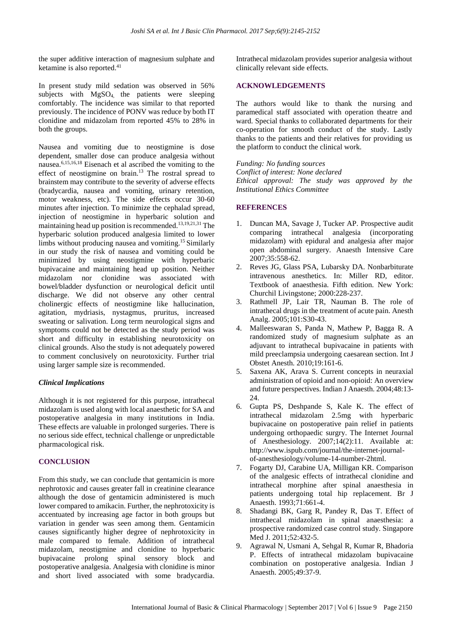the super additive interaction of magnesium sulphate and ketamine is also reported. $41$ 

In present study mild sedation was observed in 56% subjects with MgSO4, the patients were sleeping comfortably. The incidence was similar to that reported previously. The incidence of PONV was reduce by both IT clonidine and midazolam from reported 45% to 28% in both the groups.

Nausea and vomiting due to neostigmine is dose dependent, smaller dose can produce analgesia without nausea.6,15,16,18 Eisenach et al ascribed the vomiting to the effect of neostigmine on brain.<sup>13</sup> The rostral spread to brainstem may contribute to the severity of adverse effects (bradycardia, nausea and vomiting, urinary retention, motor weakness, etc). The side effects occur 30-60 minutes after injection. To minimize the cephalad spread, injection of neostigmine in hyperbaric solution and maintaining head up position is recommended.<sup>13,19,21,31</sup> The hyperbaric solution produced analgesia limited to lower limbs without producing nausea and vomiting.<sup>15</sup> Similarly in our study the risk of nausea and vomiting could be minimized by using neostigmine with hyperbaric bupivacaine and maintaining head up position. Neither midazolam nor clonidine was associated with bowel/bladder dysfunction or neurological deficit until discharge. We did not observe any other central cholinergic effects of neostigmine like hallucination, agitation, mydriasis, nystagmus, pruritus, increased sweating or salivation. Long term neurological signs and symptoms could not be detected as the study period was short and difficulty in establishing neurotoxicity on clinical grounds. Also the study is not adequately powered to comment conclusively on neurotoxicity. Further trial using larger sample size is recommended.

### *Clinical Implications*

Although it is not registered for this purpose, intrathecal midazolam is used along with local anaesthetic for SA and postoperative analgesia in many institutions in India. These effects are valuable in prolonged surgeries. There is no serious side effect, technical challenge or unpredictable pharmacological risk.

#### **CONCLUSION**

From this study, we can conclude that gentamicin is more nephrotoxic and causes greater fall in creatinine clearance although the dose of gentamicin administered is much lower compared to amikacin. Further, the nephrotoxicity is accentuated by increasing age factor in both groups but variation in gender was seen among them. Gentamicin causes significantly higher degree of nephrotoxicity in male compared to female. Addition of intrathecal midazolam, neostigmine and clonidine to hyperbaric bupivacaine prolong spinal sensory block and postoperative analgesia. Analgesia with clonidine is minor and short lived associated with some bradycardia. Intrathecal midazolam provides superior analgesia without clinically relevant side effects.

#### **ACKNOWLEDGEMENTS**

The authors would like to thank the nursing and paramedical staff associated with operation theatre and ward. Special thanks to collaborated departments for their co-operation for smooth conduct of the study. Lastly thanks to the patients and their relatives for providing us the platform to conduct the clinical work.

*Funding: No funding sources Conflict of interest: None declared Ethical approval: The study was approved by the Institutional Ethics Committee*

## **REFERENCES**

- 1. Duncan MA, Savage J, Tucker AP. Prospective audit comparing intrathecal analgesia (incorporating midazolam) with epidural and analgesia after major open abdominal surgery. Anaesth Intensive Care 2007;35:558-62.
- 2. Reves JG, Glass PSA, Lubarsky DA. Nonbarbiturate intravenous anesthetics. In: Miller RD, editor. Textbook of anaesthesia. Fifth edition. New York: Churchil Livingstone; 2000:228-237.
- 3. Rathmell JP, Lair TR, Nauman B. The role of intrathecal drugs in the treatment of acute pain. Anesth Analg. 2005;101:S30-43.
- 4. Malleeswaran S, Panda N, Mathew P, Bagga R. A randomized study of magnesium sulphate as an adjuvant to intrathecal bupivacaine in patients with mild preeclampsia undergoing caesarean section. Int J Obstet Anesth. 2010;19:161-6.
- 5. Saxena AK, Arava S. Current concepts in neuraxial administration of opioid and non-opioid: An overview and future perspectives. Indian J Anaesth. 2004;48:13- 24.
- 6. Gupta PS, Deshpande S, Kale K. The effect of intrathecal midazolam 2.5mg with hyperbaric bupivacaine on postoperative pain relief in patients undergoing orthopaedic surgry. The Internet Journal of Anesthesiology. 2007;14(2):11. Available at: http://www.ispub.com/journal/the-internet-journalof-anesthesiology/volume-14-number-2html.
- 7. Fogarty DJ, Carabine UA, Milligan KR. Comparison of the analgesic effects of intrathecal clonidine and intrathecal morphine after spinal anaesthesia in patients undergoing total hip replacement. Br J Anaesth. 1993;71:661-4.
- 8. Shadangi BK, Garg R, Pandey R, Das T. Effect of intrathecal midazolam in spinal anaesthesia: a prospective randomized case control study. Singapore Med J. 2011;52:432-5.
- 9. Agrawal N, Usmani A, Sehgal R, Kumar R, Bhadoria P. Effects of intrathecal midazolam bupivacaine combination on postoperative analgesia. Indian J Anaesth. 2005;49:37-9.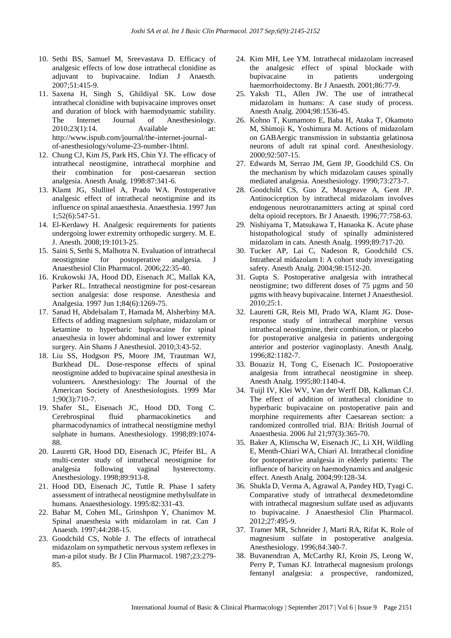- 10. Sethi BS, Samuel M, Sreevastava D. Efficacy of analgesic effects of low dose intrathecal clonidine as adjuvant to bupivacaine. Indian J Anaesth. 2007;51:415-9.
- 11. Saxena H, Singh S, Ghildiyal SK. Low dose intrathecal clonidine with bupivacaine improves onset and duration of block with haemodynamic stability. The Internet Journal of Anesthesiology. 2010;23(1):14. Available at: http://www.ispub.com/journal/the-internet-journalof-anesthesiology/volume-23-number-1html.
- 12. Chung CJ, Kim JS, Park HS, Chin YJ. The efficacy of intrathecal neostigmine, intrathecal morphine and their combination for post-caesarean section analgesia. Anesth Analg. 1998:87:341-6.
- 13. Klamt JG, Slullitel A, Prado WA. Postoperative analgesic effect of intrathecal neostigmine and its influence on spinal anaesthesia. Anaesthesia. 1997 Jun 1;52(6):547-51.
- 14. El-Kerdawy H. Analgesic requirements for patients undergoing lower extremity orthopedic surgery. M. E. J. Anesth. 2008;19:1013-25.
- 15. Saini S, Sethi S, Malhotra N. Evaluation of intrathecal neostigmine for postoperative analgesia. J Anaesthesiol Clin Pharmacol. 2006;22:35‑40.
- 16. Krukowski JA, Hood DD, Eisenach JC, Mallak KA, Parker RL. Intrathecal neostigmine for post-cesarean section analgesia: dose response. Anesthesia and Analgesia. 1997 Jun 1;84(6):1269-75.
- 17. Sanad H, Abdelsalam T, Hamada M, Alsherbiny MA. Effects of adding magnesium sulphate, midazolam or ketamine to hyperbaric bupivacaine for spinal anaesthesia in lower abdominal and lower extremity surgery. Ain Shams J Anesthesiol. 2010;3:43-52.
- 18. Liu SS, Hodgson PS, Moore JM, Trautman WJ, Burkhead DL. Dose-response effects of spinal neostigmine added to bupivacaine spinal anesthesia in volunteers. Anesthesiology: The Journal of the American Society of Anesthesiologists. 1999 Mar 1;90(3):710-7.
- 19. Shafer SL, Eisenach JC, Hood DD, Tong C. Cerebrospinal fluid pharmacokinetics and pharmacodynamics of intrathecal neostigmine methyl sulphate in humans. Anesthesiology. 1998;89:1074- 88.
- 20. Lauretti GR, Hood DD, Eisenach JC, Pfeifer BL. A multi-center study of intrathecal neostigmine for analgesia following vaginal hysterectomy. Anesthesiology. 1998;89:913-8.
- 21. Hood DD, Eisenach JC, Tuttle R. Phase I safety assessment of intrathecal neostigmine methylsulfate in humans. Anaesthesiology. 1995:82:331-43.
- 22. Bahar M, Cohen ML, Grinshpon Y, Chanimov M. Spinal anaesthesia with midazolam in rat. Can J Anaesth. 1997;44:208-15.
- 23. Goodchild CS, Noble J. The effects of intrathecal midazolam on sympathetic nervous system reflexes in man-a pilot study. Br J Clin Pharmacol. 1987;23:279- 85.
- 24. Kim MH, Lee YM. Intrathecal midazolam increased the analgesic effect of spinal blockade with bupivacaine in patients undergoing haemorrhoidectomy. Br J Anaesth. 2001;86:77-9.
- 25. Yaksh TL, Allen JW. The use of intrathecal midazolam in humans: A case study of process. Anesth Analg. 2004;98:1536-45.
- 26. Kohno T, Kumamoto E, Baba H, Ataka T, Okamoto M, Shimoji K, Yoshimura M. Actions of midazolam on GABAergic transmission in substantia gelatinosa neurons of adult rat spinal cord. Anesthesiology. 2000;92:507-15.
- 27. Edwards M, Serrao JM, Gent JP, Goodchild CS. On the mechanism by which midazolam causes spinally mediated analgesia. Anesthesiology. 1990;73:273-7.
- 28. Goodchild CS, Guo Z, Musgreave A, Gent JP. Antinociception by intrathecal midazolam involves endogenous neurotranamitters acting at spinal cord delta opioid receptors. Br J Anaesth. 1996;77:758-63.
- 29. Nishiyama T, Matsukawa T, Hanaoka K. Acute phase histopathological study of spinally administered midazolam in cats. Anesth Analg. 1999;89:717-20.
- 30. Tucker AP, Lai C, Nadeson R, Goodchild CS. Intrathecal midazolam I: A cohort study investigating safety. Anesth Analg. 2004;98:1512-20.
- 31. Gupta S. Postoperative analgesia with intrathecal neostigmine; two different doses of 75 µgms and 50 µgms with heavy bupivacaine. Internet J Anaesthesiol. 2010;25:1.
- 32. Lauretti GR, Reis MI, Prado WA, Klamt JG. Doseresponse study of intrathecal morphine versus intrathecal neostigmine, their combination, or placebo for postoperative analgesia in patients undergoing anterior and posterior vaginoplasty. Anesth Analg. 1996;82:1182-7.
- 33. Bouaziz H, Tong C, Eisenach IC. Postopoerative analgesia from intrathecal neostigmine in sheep. Anesth Analg. 1995;80:1140-4.
- 34. Tuijl IV, Klei WV, Van der Werff DB, Kalkman CJ. The effect of addition of intrathecal clonidine to hyperbaric bupivacaine on postoperative pain and morphine requirements after Caesarean section: a randomized controlled trial. BJA: British Journal of Anaesthesia. 2006 Jul 21;97(3):365-70.
- 35. Baker A, Klimscha W, Eisenach JC, Li XH, Wildling E, Menth-Chiari WA, Chiari AI. Intrathecal clonidine for postoperative analgesia in elderly patients: The influence of baricity on haemodynamics and analgesic effect. Anesth Analg. 2004;99:128-34.
- 36. Shukla D, Verma A, Agrawal A, Pandey HD, Tyagi C. Comparative study of intrathecal dexmedetomdine with intrathecal magnesium sulfate used as adjuvants to bupivacaine. J Anaesthesiol Clin Pharmacol. 2012;27:495-9.
- 37. Tramer MR, Schneider J, Marti RA, Rifat K. Role of magnesium sulfate in postoperative analgesia. Anesthesiology. 1996;84:340-7.
- 38. Buvanendran A, McCarthy RJ, Kroin JS, Leong W, Perry P, Tuman KJ. Intrathecal magnesium prolongs fentanyl analgesia: a prospective, randomized,